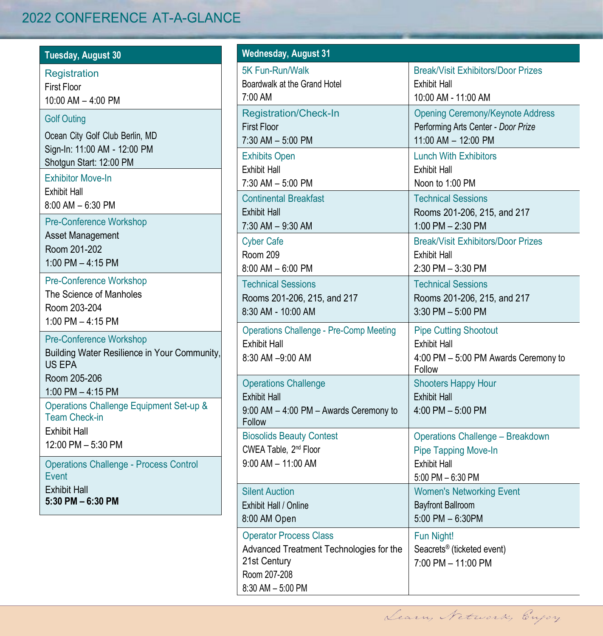## 2022 CONFERENCE AT-A-GLANCE

| <b>Tuesday, August 30</b>                                                                                                                                                                                                                               | Wednesday, August 31                                                                                                                                               |                                                                                                                                                                               |
|---------------------------------------------------------------------------------------------------------------------------------------------------------------------------------------------------------------------------------------------------------|--------------------------------------------------------------------------------------------------------------------------------------------------------------------|-------------------------------------------------------------------------------------------------------------------------------------------------------------------------------|
| <b>Registration</b><br><b>First Floor</b><br>$10:00$ AM $-$ 4:00 PM                                                                                                                                                                                     | 5K Fun-Run/Walk<br>Boardwalk at the Grand Hotel<br>7:00 AM                                                                                                         | <b>Break/Visit Exhibitors/Door Prizes</b><br>Exhibit Hall<br>10:00 AM - 11:00 AM                                                                                              |
| <b>Golf Outing</b><br>Ocean City Golf Club Berlin, MD<br>Sign-In: 11:00 AM - 12:00 PM<br>Shotqun Start: 12:00 PM                                                                                                                                        | <b>Registration/Check-In</b><br><b>First Floor</b><br>7:30 AM - 5:00 PM<br><b>Exhibits Open</b>                                                                    | <b>Opening Ceremony/Keynote Address</b><br>Performing Arts Center - Door Prize<br>11:00 AM - 12:00 PM<br><b>Lunch With Exhibitors</b>                                         |
| <b>Exhibitor Move-In</b><br>Exhibit Hall<br>$8:00$ AM $-6:30$ PM<br>Pre-Conference Workshop<br>Asset Management<br>Room 201-202                                                                                                                         | <b>Exhibit Hall</b><br>$7:30$ AM $-5:00$ PM<br><b>Continental Breakfast</b><br><b>Exhibit Hall</b><br>$7:30$ AM $-9:30$ AM<br><b>Cyber Cafe</b><br><b>Room 209</b> | Exhibit Hall<br>Noon to 1:00 PM<br><b>Technical Sessions</b><br>Rooms 201-206, 215, and 217<br>1:00 PM - 2:30 PM<br><b>Break/Visit Exhibitors/Door Prizes</b><br>Exhibit Hall |
| 1:00 PM $-$ 4:15 PM<br>Pre-Conference Workshop<br>The Science of Manholes<br>Room 203-204<br>1:00 PM $-$ 4:15 PM                                                                                                                                        | $8:00$ AM $-6:00$ PM<br><b>Technical Sessions</b><br>Rooms 201-206, 215, and 217<br>8:30 AM - 10:00 AM                                                             | $2:30$ PM $-3:30$ PM<br><b>Technical Sessions</b><br>Rooms 201-206, 215, and 217<br>$3:30$ PM $-5:00$ PM                                                                      |
| Pre-Conference Workshop<br>Building Water Resilience in Your Community,<br><b>US EPA</b>                                                                                                                                                                | <b>Operations Challenge - Pre-Comp Meeting</b><br><b>Exhibit Hall</b><br>8:30 AM -9:00 AM                                                                          | <b>Pipe Cutting Shootout</b><br><b>Exhibit Hall</b><br>4:00 PM - 5:00 PM Awards Ceremony to<br>Follow                                                                         |
| Room 205-206<br>1:00 PM - 4:15 PM<br>Operations Challenge Equipment Set-up &<br><b>Team Check-in</b><br><b>Exhibit Hall</b><br>12:00 PM - 5:30 PM<br><b>Operations Challenge - Process Control</b><br>Event<br><b>Exhibit Hall</b><br>5:30 PM - 6:30 PM | <b>Operations Challenge</b><br><b>Exhibit Hall</b><br>9:00 AM - 4:00 PM - Awards Ceremony to<br>Follow                                                             | <b>Shooters Happy Hour</b><br><b>Exhibit Hall</b><br>4:00 PM - 5:00 PM                                                                                                        |
|                                                                                                                                                                                                                                                         | <b>Biosolids Beauty Contest</b><br>CWEA Table, 2 <sup>nd</sup> Floor<br>$9:00$ AM $-$ 11:00 AM                                                                     | <b>Operations Challenge - Breakdown</b><br>Pipe Tapping Move-In<br><b>Exhibit Hall</b><br>$5:00$ PM $-6:30$ PM                                                                |
|                                                                                                                                                                                                                                                         | <b>Silent Auction</b><br>Exhibit Hall / Online<br>8:00 AM Open                                                                                                     | <b>Women's Networking Event</b><br><b>Bavfront Ballroom</b><br>$5:00$ PM $-6:30$ PM                                                                                           |
|                                                                                                                                                                                                                                                         | <b>Operator Process Class</b><br>Advanced Treatment Technologies for the<br>21st Century<br>Room 207-208<br>8:30 AM - 5:00 PM                                      | <b>Fun Night!</b><br>Seacrets <sup>®</sup> (ticketed event)<br>7:00 PM - 11:00 PM                                                                                             |